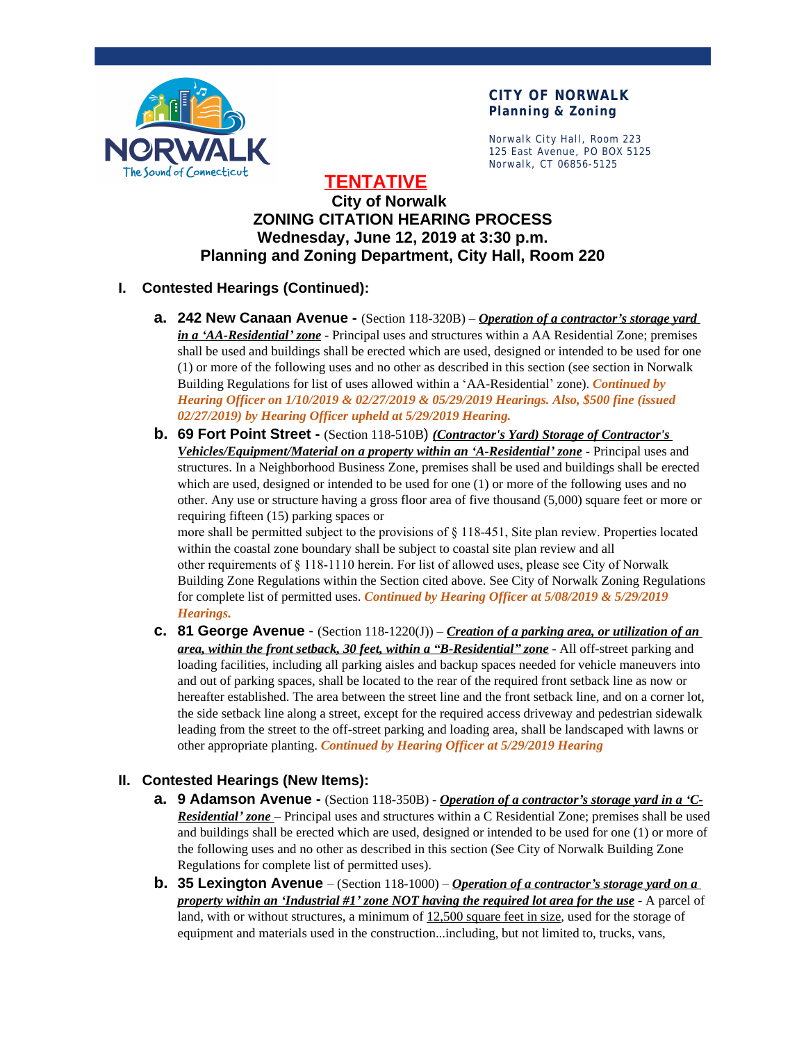

Norwalk City Hall, Room 223 125 East Avenue, PO BOX 5125 Norwalk, CT 06856-5125

**TENTATIVE**

# **City of Norwalk ZONING CITATION HEARING PROCESS Wednesday, June 12, 2019 at 3:30 p.m. Planning and Zoning Department, City Hall, Room 220**

# **I. Contested Hearings (Continued):**

- **a. 242 New Canaan Avenue -** (Section 118-320B) *Operation of a contractor's storage yard in a 'AA-Residential' zone* - Principal uses and structures within a AA Residential Zone; premises shall be used and buildings shall be erected which are used, designed or intended to be used for one (1) or more of the following uses and no other as described in this section (see section in Norwalk Building Regulations for list of uses allowed within a 'AA-Residential' zone). *Continued by Hearing Officer on 1/10/2019 & 02/27/2019 & 05/29/2019 Hearings. Also, \$500 fine (issued 02/27/2019) by Hearing Officer upheld at 5/29/2019 Hearing.*
- **b. 69 Fort Point Street -** (Section 118-510B) *(Contractor's Yard) Storage of Contractor's Vehicles/Equipment/Material on a property within an 'A-Residential' zone* - Principal uses and structures. In a Neighborhood Business Zone, premises shall be used and buildings shall be erected which are used, designed or intended to be used for one (1) or more of the following uses and no other. Any use or structure having a gross floor area of five thousand (5,000) square feet or more or requiring fifteen (15) parking spaces or

more shall be permitted subject to the provisions of § 118-451, Site plan review. Properties located within the coastal zone boundary shall be subject to coastal site plan review and all other requirements of § 118-1110 herein. For list of allowed uses, please see City of Norwalk Building Zone Regulations within the Section cited above. See City of Norwalk Zoning Regulations for complete list of permitted uses. *Continued by Hearing Officer at 5/08/2019 & 5/29/2019 Hearings.*

**c. 81 George Avenue** - (Section 118-1220(J)) – *Creation of a parking area, or utilization of an area, within the front setback, 30 feet, within a "B-Residential" zone* - All off-street parking and loading facilities, including all parking aisles and backup spaces needed for vehicle maneuvers into and out of parking spaces, shall be located to the rear of the required front setback line as now or hereafter established. The area between the street line and the front setback line, and on a corner lot, the side setback line along a street, except for the required access driveway and pedestrian sidewalk leading from the street to the off-street parking and loading area, shall be landscaped with lawns or other appropriate planting. *Continued by Hearing Officer at 5/29/2019 Hearing*

# **II. Contested Hearings (New Items):**

- **a. 9 Adamson Avenue** (Section 118-350B) *Operation of a contractor's storage yard in a 'C-Residential' zone* – Principal uses and structures within a C Residential Zone; premises shall be used and buildings shall be erected which are used, designed or intended to be used for one (1) or more of the following uses and no other as described in this section (See City of Norwalk Building Zone Regulations for complete list of permitted uses).
- **b. 35 Lexington Avenue**  (Section 118-1000) *Operation of a contractor's storage yard on a property within an 'Industrial #1' zone NOT having the required lot area for the use* - A parcel of land, with or without structures, a minimum of 12,500 square feet in size, used for the storage of equipment and materials used in the construction...including, but not limited to, trucks, vans,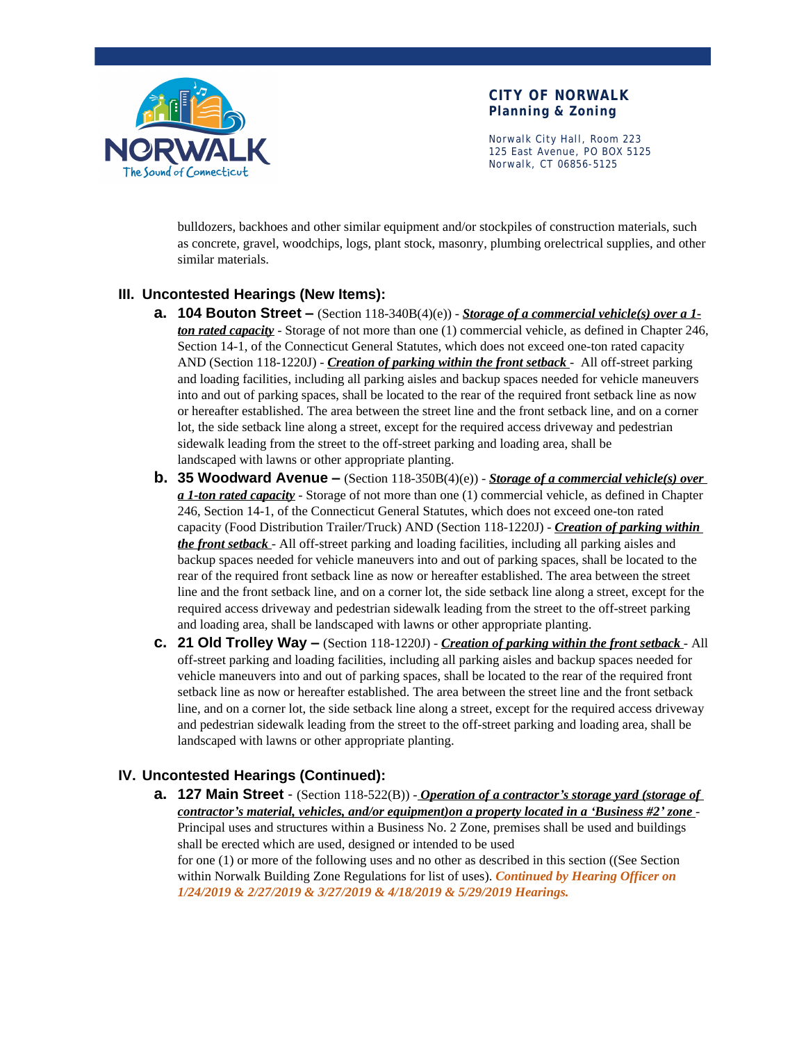

Norwalk City Hall, Room 223 125 East Avenue, PO BOX 5125 Norwalk, CT 06856-5125

bulldozers, backhoes and other similar equipment and/or stockpiles of construction materials, such as concrete, gravel, woodchips, logs, plant stock, masonry, plumbing orelectrical supplies, and other similar materials.

### **III. Uncontested Hearings (New Items):**

- **a. 104 Bouton Street –** (Section 118-340B(4)(e)) *Storage of a commercial vehicle(s) over a 1 ton rated capacity* - Storage of not more than one (1) commercial vehicle, as defined in Chapter 246, Section 14-1, of the Connecticut General Statutes, which does not exceed one-ton rated capacity AND (Section 118-1220J) - *Creation of parking within the front setback* - All off-street parking and loading facilities, including all parking aisles and backup spaces needed for vehicle maneuvers into and out of parking spaces, shall be located to the rear of the required front setback line as now or hereafter established. The area between the street line and the front setback line, and on a corner lot, the side setback line along a street, except for the required access driveway and pedestrian sidewalk leading from the street to the off-street parking and loading area, shall be landscaped with lawns or other appropriate planting.
- **b. 35 Woodward Avenue –** (Section 118-350B(4)(e)) *Storage of a commercial vehicle(s) over a 1-ton rated capacity* - Storage of not more than one (1) commercial vehicle, as defined in Chapter 246, Section 14-1, of the Connecticut General Statutes, which does not exceed one-ton rated capacity (Food Distribution Trailer/Truck) AND (Section 118-1220J) - *Creation of parking within the front setback* - All off-street parking and loading facilities, including all parking aisles and backup spaces needed for vehicle maneuvers into and out of parking spaces, shall be located to the rear of the required front setback line as now or hereafter established. The area between the street line and the front setback line, and on a corner lot, the side setback line along a street, except for the required access driveway and pedestrian sidewalk leading from the street to the off-street parking and loading area, shall be landscaped with lawns or other appropriate planting.
- **c. 21 Old Trolley Way –** (Section 118-1220J) *Creation of parking within the front setback* All off-street parking and loading facilities, including all parking aisles and backup spaces needed for vehicle maneuvers into and out of parking spaces, shall be located to the rear of the required front setback line as now or hereafter established. The area between the street line and the front setback line, and on a corner lot, the side setback line along a street, except for the required access driveway and pedestrian sidewalk leading from the street to the off-street parking and loading area, shall be landscaped with lawns or other appropriate planting.

## **IV. Uncontested Hearings (Continued):**

**a. 127 Main Street** - (Section 118-522(B)) - *Operation of a contractor's storage yard (storage of contractor's material, vehicles, and/or equipment)on a property located in a 'Business #2' zone* - Principal uses and structures within a Business No. 2 Zone, premises shall be used and buildings shall be erected which are used, designed or intended to be used for one (1) or more of the following uses and no other as described in this section ((See Section within Norwalk Building Zone Regulations for list of uses). *Continued by Hearing Officer on 1/24/2019 & 2/27/2019 & 3/27/2019 & 4/18/2019 & 5/29/2019 Hearings.*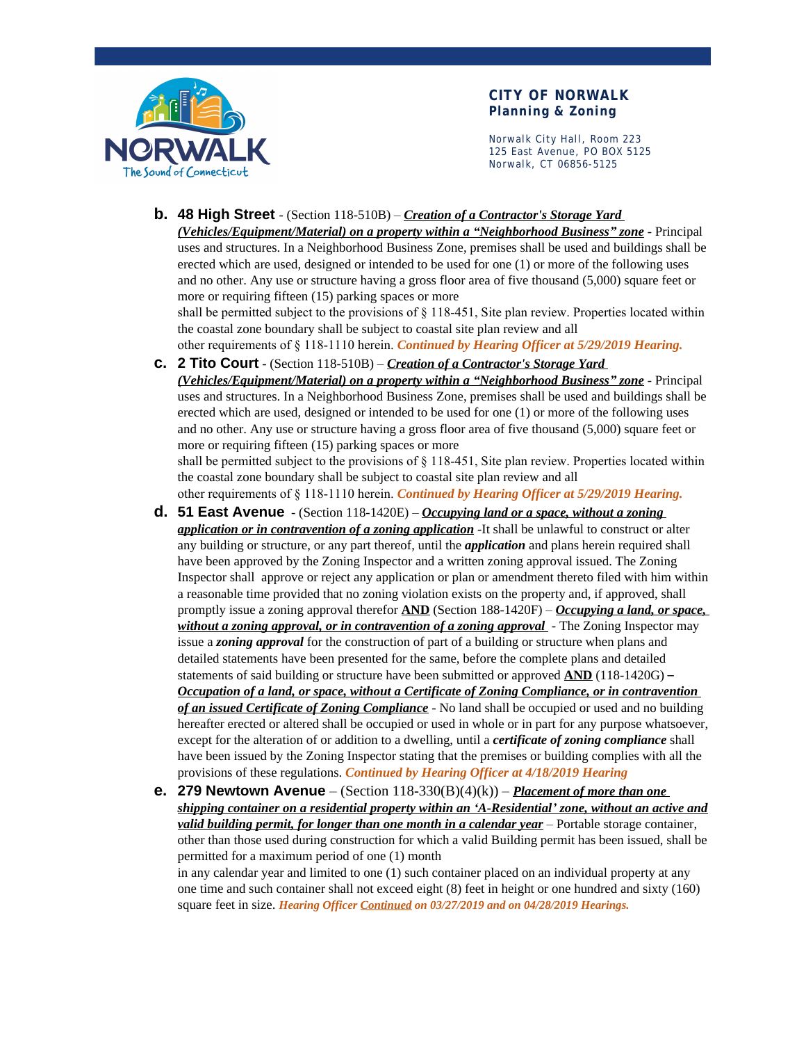

Norwalk City Hall, Room 223 125 East Avenue, PO BOX 5125 Norwalk, CT 06856-5125

#### **b. 48 High Street** - (Section 118-510B) – *Creation of a Contractor's Storage Yard*

*(Vehicles/Equipment/Material) on a property within a "Neighborhood Business" zone* - Principal uses and structures. In a Neighborhood Business Zone, premises shall be used and buildings shall be erected which are used, designed or intended to be used for one (1) or more of the following uses and no other. Any use or structure having a gross floor area of five thousand (5,000) square feet or more or requiring fifteen (15) parking spaces or more

shall be permitted subject to the provisions of § 118-451, Site plan review. Properties located within the coastal zone boundary shall be subject to coastal site plan review and all

other requirements of § 118-1110 herein. *Continued by Hearing Officer at 5/29/2019 Hearing.* **c. 2 Tito Court** - (Section 118-510B) – *Creation of a Contractor's Storage Yard* 

*(Vehicles/Equipment/Material) on a property within a "Neighborhood Business" zone* - Principal uses and structures. In a Neighborhood Business Zone, premises shall be used and buildings shall be erected which are used, designed or intended to be used for one (1) or more of the following uses and no other. Any use or structure having a gross floor area of five thousand (5,000) square feet or more or requiring fifteen (15) parking spaces or more

shall be permitted subject to the provisions of § 118-451, Site plan review. Properties located within the coastal zone boundary shall be subject to coastal site plan review and all

other requirements of § 118-1110 herein. *Continued by Hearing Officer at 5/29/2019 Hearing.*

- **d. 51 East Avenue** (Section 118-1420E) *Occupying land or a space, without a zoning application or in contravention of a zoning application* -It shall be unlawful to construct or alter any building or structure, or any part thereof, until the *application* and plans herein required shall have been approved by the Zoning Inspector and a written zoning approval issued. The Zoning Inspector shall approve or reject any application or plan or amendment thereto filed with him within a reasonable time provided that no zoning violation exists on the property and, if approved, shall promptly issue a zoning approval therefor **AND** (Section 188-1420F) – *Occupying a land, or space, without a zoning approval, or in contravention of a zoning approval* - The Zoning Inspector may issue a *zoning approval* for the construction of part of a building or structure when plans and detailed statements have been presented for the same, before the complete plans and detailed statements of said building or structure have been submitted or approved **AND** (118-1420G) – *Occupation of a land, or space, without a Certificate of Zoning Compliance, or in contravention of an issued Certificate of Zoning Compliance* - No land shall be occupied or used and no building hereafter erected or altered shall be occupied or used in whole or in part for any purpose whatsoever, except for the alteration of or addition to a dwelling, until a *certificate of zoning compliance* shall have been issued by the Zoning Inspector stating that the premises or building complies with all the provisions of these regulations. *Continued by Hearing Officer at 4/18/2019 Hearing*
- **e. 279 Newtown Avenue**  (Section 118-330(B)(4)(k)) *Placement of more than one shipping container on a residential property within an 'A-Residential' zone, without an active and valid building permit, for longer than one month in a calendar year* – Portable storage container, other than those used during construction for which a valid Building permit has been issued, shall be permitted for a maximum period of one (1) month in any calendar year and limited to one (1) such container placed on an individual property at any one time and such container shall not exceed eight (8) feet in height or one hundred and sixty (160)

square feet in size. *Hearing Officer Continued on 03/27/2019 and on 04/28/2019 Hearings.*